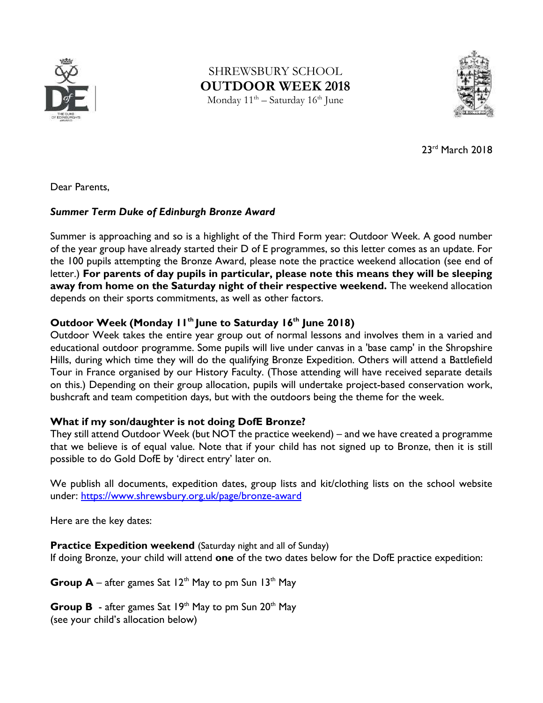

SHREWSBURY SCHOOL **OUTDOOR WEEK 2018** Monday 11<sup>th</sup> – Saturday 16<sup>th</sup> June



23rd March 2018

Dear Parents,

## *Summer Term Duke of Edinburgh Bronze Award*

Summer is approaching and so is a highlight of the Third Form year: Outdoor Week. A good number of the year group have already started their D of E programmes, so this letter comes as an update. For the 100 pupils attempting the Bronze Award, please note the practice weekend allocation (see end of letter.) **For parents of day pupils in particular, please note this means they will be sleeping away from home on the Saturday night of their respective weekend.** The weekend allocation depends on their sports commitments, as well as other factors.

## **Outdoor Week (Monday 11th June to Saturday 16 th June 2018)**

Outdoor Week takes the entire year group out of normal lessons and involves them in a varied and educational outdoor programme. Some pupils will live under canvas in a 'base camp' in the Shropshire Hills, during which time they will do the qualifying Bronze Expedition. Others will attend a Battlefield Tour in France organised by our History Faculty. (Those attending will have received separate details on this.) Depending on their group allocation, pupils will undertake project-based conservation work, bushcraft and team competition days, but with the outdoors being the theme for the week.

#### **What if my son/daughter is not doing DofE Bronze?**

They still attend Outdoor Week (but NOT the practice weekend) – and we have created a programme that we believe is of equal value. Note that if your child has not signed up to Bronze, then it is still possible to do Gold DofE by 'direct entry' later on.

We publish all documents, expedition dates, group lists and kit/clothing lists on the school website under: <https://www.shrewsbury.org.uk/page/bronze-award>

Here are the key dates:

**Practice Expedition weekend** (Saturday night and all of Sunday)

If doing Bronze, your child will attend **one** of the two dates below for the DofE practice expedition:

**Group A** – after games Sat  $12<sup>th</sup>$  May to pm Sun  $13<sup>th</sup>$  May

**Group B** - after games Sat 19<sup>th</sup> May to pm Sun 20<sup>th</sup> May (see your child's allocation below)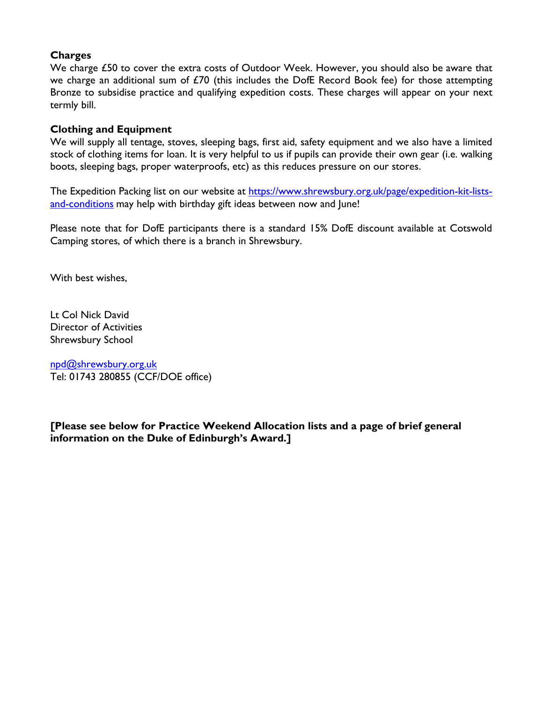### **Charges**

We charge £50 to cover the extra costs of Outdoor Week. However, you should also be aware that we charge an additional sum of  $£70$  (this includes the DofE Record Book fee) for those attempting Bronze to subsidise practice and qualifying expedition costs. These charges will appear on your next termly bill.

#### **Clothing and Equipment**

We will supply all tentage, stoves, sleeping bags, first aid, safety equipment and we also have a limited stock of clothing items for loan. It is very helpful to us if pupils can provide their own gear (i.e. walking boots, sleeping bags, proper waterproofs, etc) as this reduces pressure on our stores.

The Expedition Packing list on our website at [https://www.shrewsbury.org.uk/page/expedition-kit-lists](https://www.shrewsbury.org.uk/page/expedition-kit-lists-and-conditions)[and-conditions](https://www.shrewsbury.org.uk/page/expedition-kit-lists-and-conditions) may help with birthday gift ideas between now and June!

Please note that for DofE participants there is a standard 15% DofE discount available at Cotswold Camping stores, of which there is a branch in Shrewsbury.

With best wishes,

Lt Col Nick David Director of Activities Shrewsbury School

[npd@shrewsbury.org.uk](mailto:npd@shrewsbury.org.uk) Tel: 01743 280855 (CCF/DOE office)

**[Please see below for Practice Weekend Allocation lists and a page of brief general information on the Duke of Edinburgh's Award.]**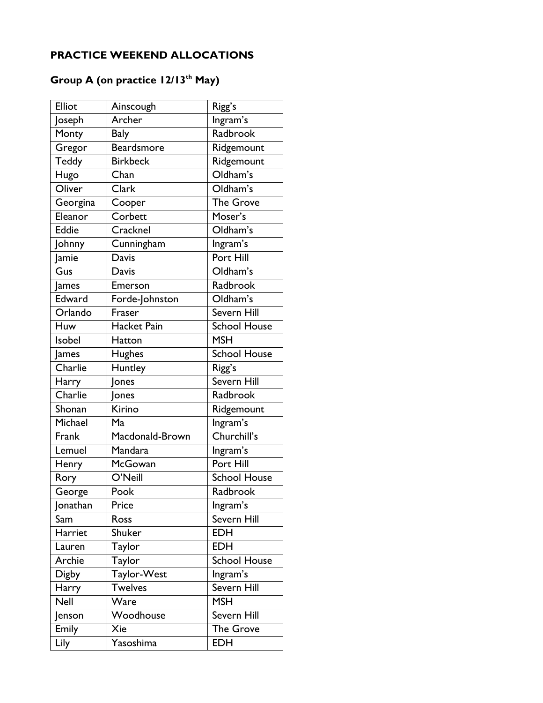## **PRACTICE WEEKEND ALLOCATIONS**

# **Group A (on practice 12/13th May)**

| Elliot         | Ainscough         | Rigg's              |
|----------------|-------------------|---------------------|
| Joseph         | Archer            | Ingram's            |
| Monty          | Baly              | Radbrook            |
| Gregor         | <b>Beardsmore</b> | Ridgemount          |
| <b>Teddy</b>   | <b>Birkbeck</b>   | Ridgemount          |
| Hugo           | Chan              | Oldham's            |
| Oliver         | Clark             | Oldham's            |
| Georgina       | Cooper            | The Grove           |
| Eleanor        | Corbett           | Moser's             |
| Eddie          | Cracknel          | Oldham's            |
| Johnny         | Cunningham        | Ingram's            |
| Jamie          | Davis             | Port Hill           |
| Gus            | Davis             | Oldham's            |
| lames          | Emerson           | Radbrook            |
| Edward         | Forde-Johnston    | Oldham's            |
| Orlando        | Fraser            | Severn Hill         |
| Huw            | Hacket Pain       | <b>School House</b> |
| <b>Isobel</b>  | Hatton            | <b>MSH</b>          |
| James          | <b>Hughes</b>     | <b>School House</b> |
| Charlie        | Huntley           | Rigg's              |
| Harry          | Jones             | Severn Hill         |
| Charlie        | Jones             | Radbrook            |
| Shonan         | Kirino            | Ridgemount          |
| Michael        | Ma                | Ingram's            |
| Frank          | Macdonald-Brown   | Churchill's         |
| Lemuel         | Mandara           | Ingram's            |
| Henry          | <b>McGowan</b>    | Port Hill           |
| Rory           | O'Neill           | <b>School House</b> |
| George         | Pook              | Radbrook            |
| Jonathan       | Price             | Ingram's            |
| Sam            | Ross              | Severn Hill         |
| <b>Harriet</b> | Shuker            | <b>EDH</b>          |
| Lauren         | <b>Taylor</b>     | <b>EDH</b>          |
| Archie         | Taylor            | <b>School House</b> |
| Digby          | Taylor-West       | Ingram's            |
| Harry          | <b>Twelves</b>    | Severn Hill         |
| Nell           | Ware              | <b>MSH</b>          |
| Jenson         | Woodhouse         | Severn Hill         |
| Emily          | Xie               | <b>The Grove</b>    |
| Lily           | Yasoshima         | <b>EDH</b>          |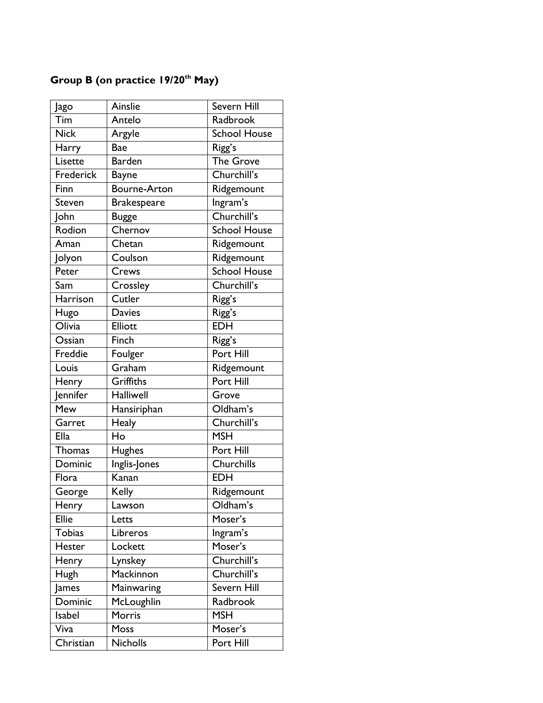# **Group B (on practice 19/20th May)**

| Jago          | Ainslie            | Severn Hill         |
|---------------|--------------------|---------------------|
| Tim           | Antelo             | Radbrook            |
| <b>Nick</b>   | Argyle             | <b>School House</b> |
| Harry         | Bae                | Rigg's              |
| Lisette       | <b>Barden</b>      | <b>The Grove</b>    |
| Frederick     | Bayne              | Churchill's         |
| Finn          | Bourne-Arton       | Ridgemount          |
| <b>Steven</b> | <b>Brakespeare</b> | Ingram's            |
| John          | <b>Bugge</b>       | Churchill's         |
| Rodion        | Chernov            | <b>School House</b> |
| Aman          | Chetan             | Ridgemount          |
| Jolyon        | Coulson            | Ridgemount          |
| Peter         | Crews              | <b>School House</b> |
| Sam           | Crossley           | Churchill's         |
| Harrison      | Cutler             | Rigg's              |
| Hugo          | <b>Davies</b>      | Rigg's              |
| Olivia        | Elliott            | EDH                 |
| Ossian        | Finch              | Rigg's              |
| Freddie       | Foulger            | Port Hill           |
| Louis         | Graham             | Ridgemount          |
| Henry         | Griffiths          | Port Hill           |
| Jennifer      | Halliwell          | Grove               |
| Mew           | Hansiriphan        | Oldham's            |
| Garret        | Healy              | Churchill's         |
| Ella          | Ho                 | <b>MSH</b>          |
| <b>Thomas</b> | <b>Hughes</b>      | Port Hill           |
| Dominic       | Inglis-Jones       | Churchills          |
| Flora         | Kanan              | <b>EDH</b>          |
| George        | <b>Kelly</b>       | Ridgemount          |
| Henry         | Lawson             | Oldham's            |
| <b>Ellie</b>  | Letts              | Moser's             |
| Tobias        | Libreros           | Ingram's            |
| <b>Hester</b> | Lockett            | Moser's             |
| Henry         | Lynskey            | Churchill's         |
| Hugh          | Mackinnon          | Churchill's         |
| James         | Mainwaring         | Severn Hill         |
| Dominic       | McLoughlin         | Radbrook            |
| Isabel        | Morris             | <b>MSH</b>          |
| Viva          | <b>Moss</b>        | Moser's             |
| Christian     | <b>Nicholls</b>    | Port Hill           |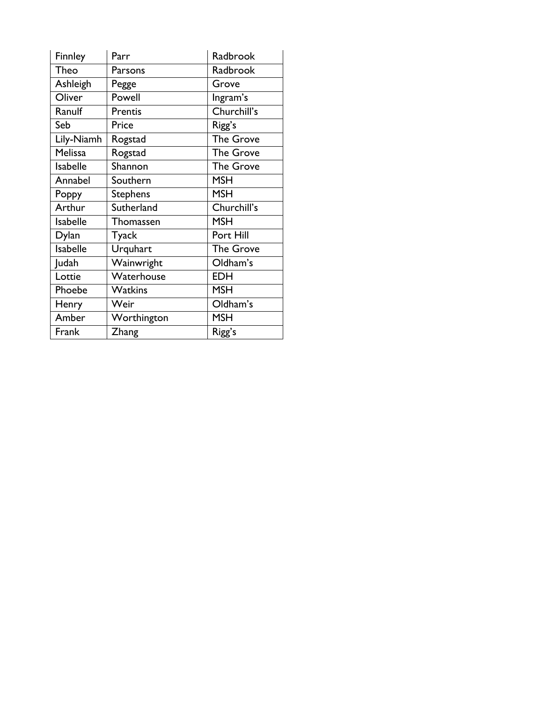| Finnley         | Parr            | Radbrook         |
|-----------------|-----------------|------------------|
| Theo            | Parsons         | Radbrook         |
| Ashleigh        | Pegge           | Grove            |
| Oliver          | Powell          | Ingram's         |
| Ranulf          | Prentis         | Churchill's      |
| Seb             | Price           | Rigg's           |
| Lily-Niamh      | Rogstad         | <b>The Grove</b> |
| Melissa         | Rogstad         | <b>The Grove</b> |
| Isabelle        | Shannon         | <b>The Grove</b> |
| Annabel         | Southern        | <b>MSH</b>       |
| Poppy           | <b>Stephens</b> | <b>MSH</b>       |
| Arthur          | Sutherland      | Churchill's      |
| Isabelle        | Thomassen       | <b>MSH</b>       |
| Dylan           | <b>Tyack</b>    | Port Hill        |
| <b>Isabelle</b> | Urquhart        | <b>The Grove</b> |
| Judah           | Wainwright      | Oldham's         |
| Lottie          | Waterhouse      | <b>EDH</b>       |
| Phoebe          | <b>Watkins</b>  | <b>MSH</b>       |
| Henry           | Weir            | Oldham's         |
| Amber           | Worthington     | <b>MSH</b>       |
| Frank           | Zhang           | Rigg's           |